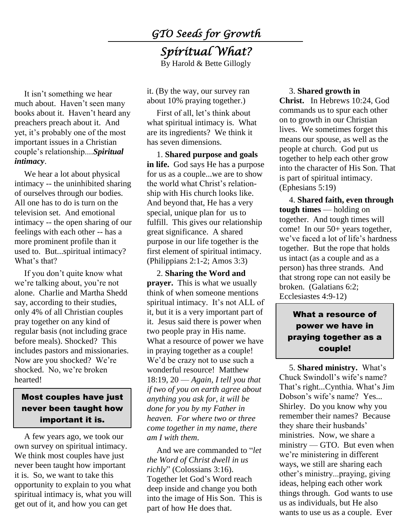*GTO Seeds for Growth* 

## *Spiritual What?*  By Harold & Bette Gillogly

It isn't something we hear much about. Haven't seen many books about it. Haven't heard any preachers preach about it. And yet, it's probably one of the most important issues in a Christian couple's relationship....*Spiritual intimacy*.

We hear a lot about physical intimacy -- the uninhibited sharing of ourselves through our bodies. All one has to do is turn on the television set. And emotional intimacy -- the open sharing of our feelings with each other -- has a more prominent profile than it used to. But...spiritual intimacy? What's that?

If you don't quite know what we're talking about, you're not alone. Charlie and Martha Shedd say, according to their studies, only 4% of all Christian couples pray together on any kind of regular basis (not including grace before meals). Shocked? This includes pastors and missionaries. Now are you shocked? We're shocked. No, we're broken hearted!

### Most couples have just never been taught how important it is.

A few years ago, we took our own survey on spiritual intimacy. We think most couples have just never been taught how important it is. So, we want to take this opportunity to explain to you what spiritual intimacy is, what you will get out of it, and how you can get

it. (By the way, our survey ran about 10% praying together.)

First of all, let's think about what spiritual intimacy is. What are its ingredients? We think it has seven dimensions.

1. **Shared purpose and goals in life.** God says He has a purpose for us as a couple...we are to show the world what Christ's relationship with His church looks like. And beyond that, He has a very special, unique plan for us to fulfill. This gives our relationship great significance. A shared purpose in our life together is the first element of spiritual intimacy. (Philippians 2:1-2; Amos 3:3)

2. **Sharing the Word and prayer.** This is what we usually think of when someone mentions spiritual intimacy. It's not ALL of it, but it is a very important part of it. Jesus said there is power when two people pray in His name. What a resource of power we have in praying together as a couple! We'd be crazy not to use such a wonderful resource! Matthew 18:19, 20 — *Again, I tell you that if two of you on earth agree about anything you ask for, it will be done for you by my Father in heaven. For where two or three come together in my name, there am I with them*.

And we are commanded to "*let the Word of Christ dwell in us richly*" (Colossians 3:16). Together let God's Word reach deep inside and change you both into the image of His Son. This is part of how He does that.

#### 3. **Shared growth in Christ.** In Hebrews 10:24, God commands us to spur each other on to growth in our Christian lives. We sometimes forget this means our spouse, as well as the people at church. God put us together to help each other grow into the character of His Son. That is part of spiritual intimacy. (Ephesians 5:19)

4. **Shared faith, even through tough times** — holding on together. And tough times will come! In our 50+ years together, we've faced a lot of life's hardness together. But the rope that holds us intact (as a couple and as a person) has three strands. And that strong rope can not easily be broken. (Galatians 6:2; Ecclesiastes 4:9-12)

## What a resource of power we have in praying together as a couple!

5. **Shared ministry.** What's Chuck Swindoll's wife's name? That's right...Cynthia. What's Jim Dobson's wife's name? Yes... Shirley. Do you know why you remember their names? Because they share their husbands' ministries. Now, we share a ministry — GTO. But even when we're ministering in different ways, we still are sharing each other's ministry...praying, giving ideas, helping each other work things through. God wants to use us as individuals, but He also wants to use us as a couple. Ever